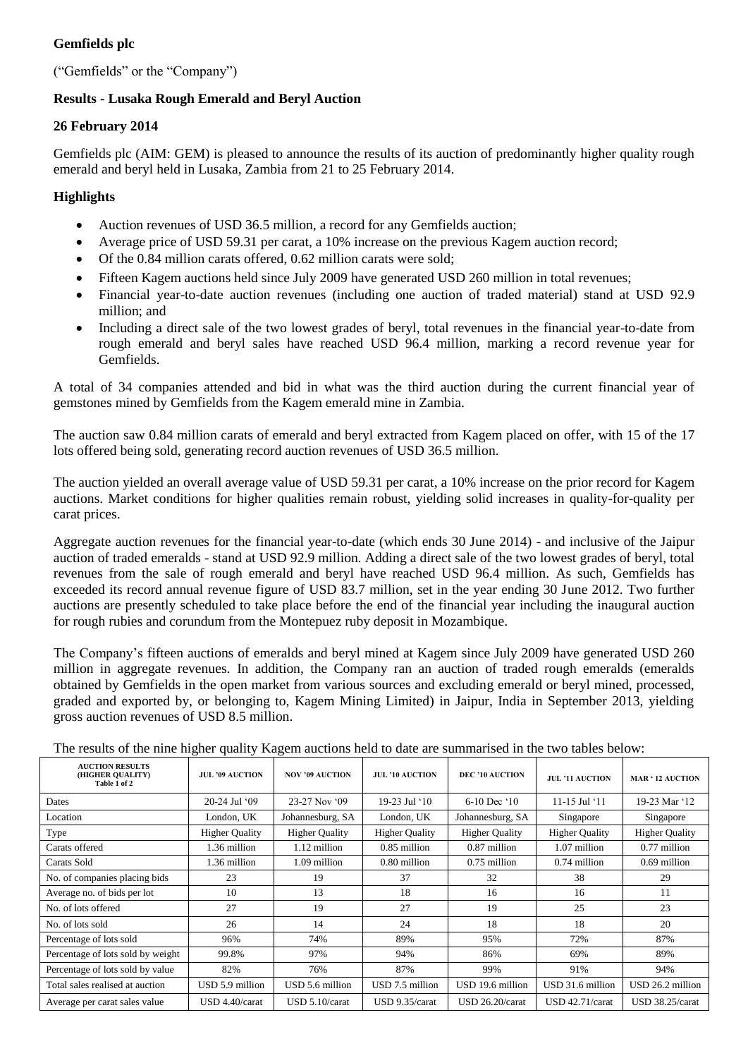# **Gemfields plc**

("Gemfields" or the "Company")

## **Results - Lusaka Rough Emerald and Beryl Auction**

### **26 February 2014**

Gemfields plc (AIM: GEM) is pleased to announce the results of its auction of predominantly higher quality rough emerald and beryl held in Lusaka, Zambia from 21 to 25 February 2014.

## **Highlights**

- Auction revenues of USD 36.5 million, a record for any Gemfields auction;
- Average price of USD 59.31 per carat, a 10% increase on the previous Kagem auction record;
- Of the 0.84 million carats offered, 0.62 million carats were sold;
- Fifteen Kagem auctions held since July 2009 have generated USD 260 million in total revenues;
- Financial year-to-date auction revenues (including one auction of traded material) stand at USD 92.9 million; and
- Including a direct sale of the two lowest grades of beryl, total revenues in the financial year-to-date from rough emerald and beryl sales have reached USD 96.4 million, marking a record revenue year for Gemfields.

A total of 34 companies attended and bid in what was the third auction during the current financial year of gemstones mined by Gemfields from the Kagem emerald mine in Zambia.

The auction saw 0.84 million carats of emerald and beryl extracted from Kagem placed on offer, with 15 of the 17 lots offered being sold, generating record auction revenues of USD 36.5 million.

The auction yielded an overall average value of USD 59.31 per carat, a 10% increase on the prior record for Kagem auctions. Market conditions for higher qualities remain robust, yielding solid increases in quality-for-quality per carat prices.

Aggregate auction revenues for the financial year-to-date (which ends 30 June 2014) - and inclusive of the Jaipur auction of traded emeralds - stand at USD 92.9 million. Adding a direct sale of the two lowest grades of beryl, total revenues from the sale of rough emerald and beryl have reached USD 96.4 million. As such, Gemfields has exceeded its record annual revenue figure of USD 83.7 million, set in the year ending 30 June 2012. Two further auctions are presently scheduled to take place before the end of the financial year including the inaugural auction for rough rubies and corundum from the Montepuez ruby deposit in Mozambique.

The Company's fifteen auctions of emeralds and beryl mined at Kagem since July 2009 have generated USD 260 million in aggregate revenues. In addition, the Company ran an auction of traded rough emeralds (emeralds obtained by Gemfields in the open market from various sources and excluding emerald or beryl mined, processed, graded and exported by, or belonging to, Kagem Mining Limited) in Jaipur, India in September 2013, yielding gross auction revenues of USD 8.5 million.

|                                                            | O.                     | $\circ$                |                        |                        |                        |                         |
|------------------------------------------------------------|------------------------|------------------------|------------------------|------------------------|------------------------|-------------------------|
| <b>AUCTION RESULTS</b><br>(HIGHER QUALITY)<br>Table 1 of 2 | <b>JUL '09 AUCTION</b> | <b>NOV '09 AUCTION</b> | <b>JUL '10 AUCTION</b> | <b>DEC '10 AUCTION</b> | <b>JUL '11 AUCTION</b> | <b>MAR ' 12 AUCTION</b> |
| Dates                                                      | 20-24 Jul '09          | 23-27 Nov '09          | 19-23 Jul '10          | 6-10 Dec '10           | 11-15 Jul $`11$        | 19-23 Mar '12           |
| Location                                                   | London, UK             | Johannesburg, SA       | London, UK             | Johannesburg, SA       | Singapore              | Singapore               |
| Type                                                       | <b>Higher Quality</b>  | <b>Higher Quality</b>  | <b>Higher Quality</b>  | <b>Higher Quality</b>  | <b>Higher Quality</b>  | <b>Higher Quality</b>   |
| Carats offered                                             | 1.36 million           | 1.12 million           | $0.85$ million         | 0.87 million           | 1.07 million           | $0.77$ million          |
| Carats Sold                                                | 1.36 million           | 1.09 million           | 0.80 million           | $0.75$ million         | 0.74 million           | $0.69$ million          |
| No. of companies placing bids                              | 23                     | 19                     | 37                     | 32                     | 38                     | 29                      |
| Average no. of bids per lot                                | 10                     | 13                     | 18                     | 16                     | 16                     | 11                      |
| No. of lots offered                                        | 27                     | 19                     | 27                     | 19                     | 25                     | 23                      |
| No. of lots sold                                           | 26                     | 14                     | 24                     | 18                     | 18                     | 20                      |
| Percentage of lots sold                                    | 96%                    | 74%                    | 89%                    | 95%                    | 72%                    | 87%                     |
| Percentage of lots sold by weight                          | 99.8%                  | 97%                    | 94%                    | 86%                    | 69%                    | 89%                     |
| Percentage of lots sold by value                           | 82%                    | 76%                    | 87%                    | 99%                    | 91%                    | 94%                     |
| Total sales realised at auction                            | USD 5.9 million        | USD 5.6 million        | USD 7.5 million        | USD 19.6 million       | USD 31.6 million       | USD 26.2 million        |
| Average per carat sales value                              | USD 4.40/carat         | USD 5.10/carat         | USD 9.35/carat         | USD 26.20/carat        | $USD$ 42.71/carat      | USD 38.25/carat         |

The results of the nine higher quality Kagem auctions held to date are summarised in the two tables below: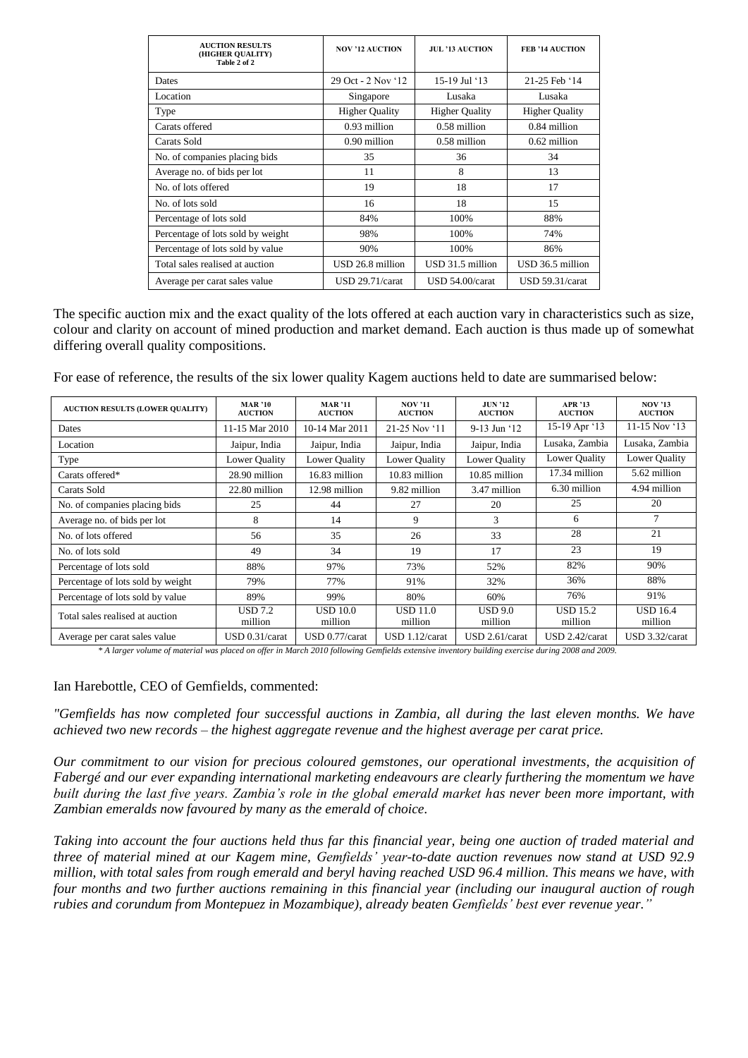| <b>AUCTION RESULTS</b><br>(HIGHER QUALITY)<br>Table 2 of 2 | <b>NOV '12 AUCTION</b> | JUL '13 AUCTION       | <b>FEB '14 AUCTION</b> |
|------------------------------------------------------------|------------------------|-----------------------|------------------------|
| Dates                                                      | 29 Oct - 2 Nov '12     | 15-19 Jul '13         | 21-25 Feb '14          |
| Location                                                   | Singapore              | Lusaka                | Lusaka                 |
| Type                                                       | <b>Higher Quality</b>  | <b>Higher Quality</b> | <b>Higher Quality</b>  |
| Carats offered                                             | 0.93 million           | 0.58 million          | $0.84$ million         |
| Carats Sold                                                | 0.90 million           | 0.58 million          | $0.62$ million         |
| No. of companies placing bids                              | 35                     | 36                    | 34                     |
| Average no. of bids per lot                                | 11                     | 8                     | 13                     |
| No. of lots offered                                        | 19                     | 18                    | 17                     |
| No. of lots sold                                           | 16                     | 18                    | 15                     |
| Percentage of lots sold                                    | 84%                    | 100%                  | 88%                    |
| Percentage of lots sold by weight                          | 98%                    | 100%                  | 74%                    |
| Percentage of lots sold by value                           | 90%                    | 100%                  | 86%                    |
| Total sales realised at auction                            | USD 26.8 million       | USD 31.5 million      | USD 36.5 million       |
| Average per carat sales value                              | USD 29.71/carat        | USD 54.00/carat       | $USD$ 59.31/carat      |

The specific auction mix and the exact quality of the lots offered at each auction vary in characteristics such as size, colour and clarity on account of mined production and market demand. Each auction is thus made up of somewhat differing overall quality compositions.

For ease of reference, the results of the six lower quality Kagem auctions held to date are summarised below:

| <b>AUCTION RESULTS (LOWER QUALITY)</b> | <b>MAR</b> '10<br><b>AUCTION</b> | <b>MAR</b> '11<br><b>AUCTION</b> | <b>NOV '11</b><br><b>AUCTION</b> | <b>JUN '12</b><br><b>AUCTION</b> | <b>APR '13</b><br><b>AUCTION</b> | <b>NOV '13</b><br><b>AUCTION</b> |
|----------------------------------------|----------------------------------|----------------------------------|----------------------------------|----------------------------------|----------------------------------|----------------------------------|
| Dates                                  | 11-15 Mar 2010                   | 10-14 Mar 2011                   | 21-25 Nov '11                    | 9-13 Jun '12                     | 15-19 Apr '13                    | 11-15 Nov $13$                   |
| Location                               | Jaipur, India                    | Jaipur, India                    | Jaipur, India                    | Jaipur, India                    | Lusaka, Zambia                   | Lusaka, Zambia                   |
| Type                                   | Lower Quality                    | Lower Quality                    | Lower Quality                    | Lower Quality                    | Lower Quality                    | Lower Quality                    |
| Carats offered*                        | 28.90 million                    | 16.83 million                    | 10.83 million                    | 10.85 million                    | 17.34 million                    | 5.62 million                     |
| Carats Sold                            | 22.80 million                    | 12.98 million                    | 9.82 million                     | 3.47 million                     | 6.30 million                     | 4.94 million                     |
| No. of companies placing bids          | 25                               | 44                               | 27                               | 20                               | 25                               | 20                               |
| Average no. of bids per lot            | 8                                | 14                               | 9                                | 3                                | 6                                | 7                                |
| No. of lots offered                    | 56                               | 35                               | 26                               | 33                               | 28                               | 21                               |
| No. of lots sold                       | 49                               | 34                               | 19                               | 17                               | 23                               | 19                               |
| Percentage of lots sold                | 88%                              | 97%                              | 73%                              | 52%                              | 82%                              | 90%                              |
| Percentage of lots sold by weight      | 79%                              | 77%                              | 91%                              | 32%                              | 36%                              | 88%                              |
| Percentage of lots sold by value       | 89%                              | 99%                              | 80%                              | 60%                              | 76%                              | 91%                              |
| Total sales realised at auction        | <b>USD</b> 7.2<br>million        | <b>USD 10.0</b><br>million       | <b>USD 11.0</b><br>million       | USD 9.0<br>million               | <b>USD 15.2</b><br>million       | <b>USD 16.4</b><br>million       |
| Average per carat sales value          | $\text{USD }0.31/\text{carat}$   | USD 0.77/carat                   | USD 1.12/carat                   | USD 2.61/carat                   | USD 2.42/carat                   | USD 3.32/carat                   |

*\* A larger volume of material was placed on offer in March 2010 following Gemfields extensive inventory building exercise during 2008 and 2009.*

#### Ian Harebottle, CEO of Gemfields, commented:

*"Gemfields has now completed four successful auctions in Zambia, all during the last eleven months. We have achieved two new records – the highest aggregate revenue and the highest average per carat price.* 

*Our commitment to our vision for precious coloured gemstones, our operational investments, the acquisition of Fabergé and our ever expanding international marketing endeavours are clearly furthering the momentum we have built during the last five years. Zambia's role in the global emerald market has never been more important, with Zambian emeralds now favoured by many as the emerald of choice.*

*Taking into account the four auctions held thus far this financial year, being one auction of traded material and three of material mined at our Kagem mine, Gemfields' year-to-date auction revenues now stand at USD 92.9 million, with total sales from rough emerald and beryl having reached USD 96.4 million. This means we have, with four months and two further auctions remaining in this financial year (including our inaugural auction of rough rubies and corundum from Montepuez in Mozambique), already beaten Gemfields' best ever revenue year."*